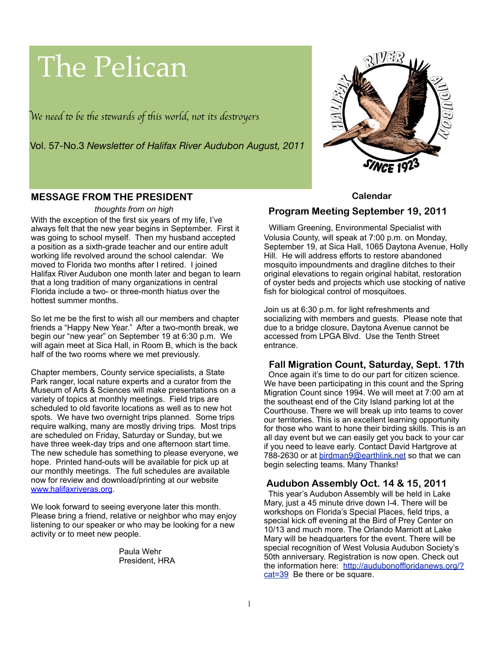# The Pelican

W*e need* " *be* #*e s*\$*wards of* #*is world, not its des*%*oyer*s

Vol. 57-No.3 *Newsletter of Halifax River Audubon August, 2011*



## **MESSAGE FROM THE PRESIDENT**

#### *thoughts from on high*

With the exception of the first six years of my life, I've always felt that the new year begins in September. First it was going to school myself. Then my husband accepted a position as a sixth-grade teacher and our entire adult working life revolved around the school calendar. We moved to Florida two months after I retired. I joined Halifax River Audubon one month later and began to learn that a long tradition of many organizations in central Florida include a two- or three-month hiatus over the hottest summer months.

So let me be the first to wish all our members and chapter friends a "Happy New Year." After a two-month break, we begin our "new year" on September 19 at 6:30 p.m. We will again meet at Sica Hall, in Room B, which is the back half of the two rooms where we met previously.

Chapter members, County service specialists, a State Park ranger, local nature experts and a curator from the Museum of Arts & Sciences will make presentations on a variety of topics at monthly meetings. Field trips are scheduled to old favorite locations as well as to new hot spots. We have two overnight trips planned. Some trips require walking, many are mostly driving trips. Most trips are scheduled on Friday, Saturday or Sunday, but we have three week-day trips and one afternoon start time. The new schedule has something to please everyone, we hope. Printed hand-outs will be available for pick up at our monthly meetings. The full schedules are available now for review and download/printing at our website [www.halifaxriveras.org.](http://www.halifaxriveras.org)

We look forward to seeing everyone later this month. Please bring a friend, relative or neighbor who may enjoy listening to our speaker or who may be looking for a new activity or to meet new people.

> Paula Wehr President, HRA

#### **Calendar**

### **Program Meeting September 19, 2011**

William Greening, Environmental Specialist with Volusia County, will speak at 7:00 p.m. on Monday, September 19, at Sica Hall, 1065 Daytona Avenue, Holly Hill. He will address efforts to restore abandoned mosquito impoundments and dragline ditches to their original elevations to regain original habitat, restoration of oyster beds and projects which use stocking of native fish for biological control of mosquitoes.

Join us at 6:30 p.m. for light refreshments and socializing with members and guests. Please note that due to a bridge closure, Daytona Avenue cannot be accessed from LPGA Blvd. Use the Tenth Street entrance.

### **Fall Migration Count, Saturday, Sept. 17th**

 Once again it's time to do our part for citizen science. We have been participating in this count and the Spring Migration Count since 1994. We will meet at 7:00 am at the southeast end of the City Island parking lot at the Courthouse. There we will break up into teams to cover our territories. This is an excellent learning opportunity for those who want to hone their birding skills. This is an all day event but we can easily get you back to your car if you need to leave early. Contact David Hartgrove at 788-2630 or at [birdman9@earthlink.net](mailto:birdman9@earthlink.net) so that we can begin selecting teams. Many Thanks!

### **Audubon Assembly Oct. 14 & 15, 2011**

 This year's Audubon Assembly will be held in Lake Mary, just a 45 minute drive down I-4. There will be workshops on Florida's Special Places, field trips, a special kick off evening at the Bird of Prey Center on 10/13 and much more. The Orlando Marriott at Lake Mary will be headquarters for the event. There will be special recognition of West Volusia Audubon Society's 50th anniversary. Registration is now open. Check out the information here: [http://audubonoffloridanews.org/?](http://audubonoffloridanews.org/?cat=39) [cat=39](http://audubonoffloridanews.org/?cat=39) Be there or be square.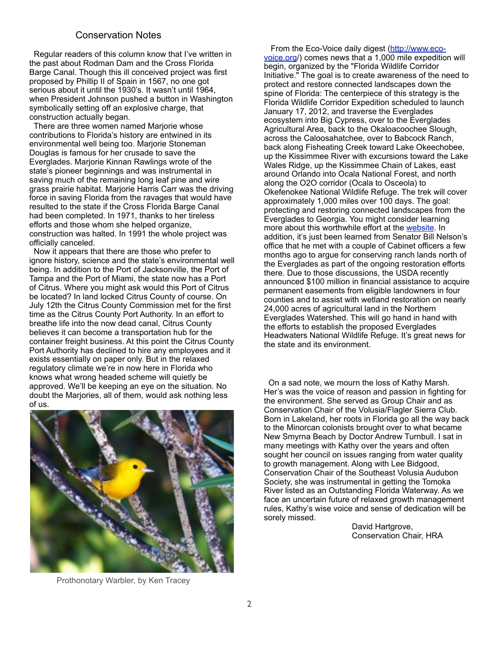#### Conservation Notes

 Regular readers of this column know that I've written in the past about Rodman Dam and the Cross Florida Barge Canal. Though this ill conceived project was first proposed by Phillip II of Spain in 1567, no one got serious about it until the 1930's. It wasn't until 1964, when President Johnson pushed a button in Washington symbolically setting off an explosive charge, that construction actually began.

 There are three women named Marjorie whose contributions to Florida's history are entwined in its environmental well being too. Marjorie Stoneman Douglas is famous for her crusade to save the Everglades. Marjorie Kinnan Rawlings wrote of the state's pioneer beginnings and was instrumental in saving much of the remaining long leaf pine and wire grass prairie habitat. Marjorie Harris Carr was the driving force in saving Florida from the ravages that would have resulted to the state if the Cross Florida Barge Canal had been completed. In 1971, thanks to her tireless efforts and those whom she helped organize, construction was halted. In 1991 the whole project was officially canceled.

 Now it appears that there are those who prefer to ignore history, science and the state's environmental well being. In addition to the Port of Jacksonville, the Port of Tampa and the Port of Miami, the state now has a Port of Citrus. Where you might ask would this Port of Citrus be located? In land locked Citrus County of course. On July 12th the Citrus County Commission met for the first time as the Citrus County Port Authority. In an effort to breathe life into the now dead canal, Citrus County believes it can become a transportation hub for the container freight business. At this point the Citrus County Port Authority has declined to hire any employees and it exists essentially on paper only. But in the relaxed regulatory climate we're in now here in Florida who knows what wrong headed scheme will quietly be approved. We'll be keeping an eye on the situation. No doubt the Marjories, all of them, would ask nothing less of us.



Prothonotary Warbler, by Ken Tracey

From the Eco-Voice daily digest [\(http://www.eco](http://www.eco-voice.org)[voice.org/](http://www.eco-voice.org)) comes news that a 1,000 mile expedition will begin, organized by the "Florida Wildlife Corridor Initiative." The goal is to create awareness of the need to protect and restore connected landscapes down the spine of Florida: The centerpiece of this strategy is the Florida Wildlife Corridor Expedition scheduled to launch January 17, 2012, and traverse the Everglades ecosystem into Big Cypress, over to the Everglades Agricultural Area, back to the Okaloacoochee Slough, across the Caloosahatchee, over to Babcock Ranch, back along Fisheating Creek toward Lake Okeechobee, up the Kissimmee River with excursions toward the Lake Wales Ridge, up the Kissimmee Chain of Lakes, east around Orlando into Ocala National Forest, and north along the O2O corridor (Ocala to Osceola) to Okefenokee National Wildlife Refuge. The trek will cover approximately 1,000 miles over 100 days. The goal: protecting and restoring connected landscapes from the Everglades to Georgia. You might consider learning more about this worthwhile effort at the [website.](http://r20.rs6.net/tn.jsp?llr=vpaakvdab&t=gaxeabhab.0.eitzr7gab.vpaakvdab.91&ts=S0650&p=http%3A%2F%2Fwww.floridawildlifecorridor.org%2F) In addition, it's just been learned from Senator Bill Nelson's office that he met with a couple of Cabinet officers a few months ago to argue for conserving ranch lands north of the Everglades as part of the ongoing restoration efforts there. Due to those discussions, the USDA recently announced \$100 million in financial assistance to acquire permanent easements from eligible landowners in four counties and to assist with wetland restoration on nearly 24,000 acres of agricultural land in the Northern Everglades Watershed. This will go hand in hand with the efforts to establish the proposed Everglades Headwaters National Wildlife Refuge. It's great news for the state and its environment.

 On a sad note, we mourn the loss of Kathy Marsh. Her's was the voice of reason and passion in fighting for the environment. She served as Group Chair and as Conservation Chair of the Volusia/Flagler Sierra Club. Born in Lakeland, her roots in Florida go all the way back to the Minorcan colonists brought over to what became New Smyrna Beach by Doctor Andrew Turnbull. I sat in many meetings with Kathy over the years and often sought her council on issues ranging from water quality to growth management. Along with Lee Bidgood, Conservation Chair of the Southeast Volusia Audubon Society, she was instrumental in getting the Tomoka River listed as an Outstanding Florida Waterway. As we face an uncertain future of relaxed growth management rules, Kathy's wise voice and sense of dedication will be sorely missed.

 David Hartgrove, Conservation Chair, HRA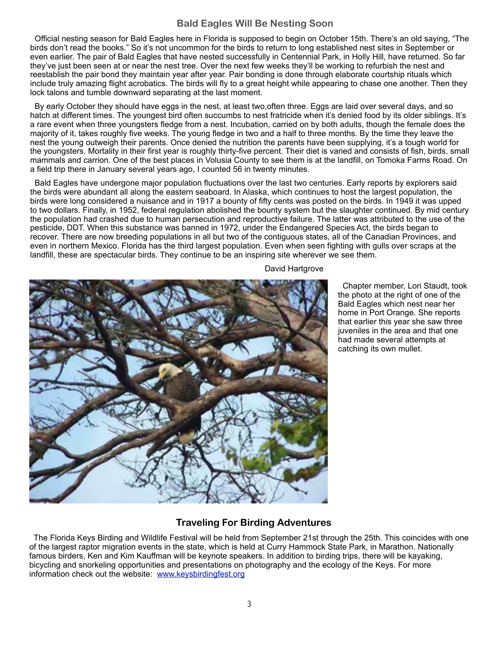## **Bald Eagles Will Be Nesting Soon**

 Official nesting season for Bald Eagles here in Florida is supposed to begin on October 15th. There's an old saying, "The birds don't read the books." So it's not uncommon for the birds to return to long established nest sites in September or even earlier. The pair of Bald Eagles that have nested successfully in Centennial Park, in Holly Hill, have returned. So far they've just been seen at or near the nest tree. Over the next few weeks they'll be working to refurbish the nest and reestablish the pair bond they maintain year after year. Pair bonding is done through elaborate courtship rituals which include truly amazing flight acrobatics. The birds will fly to a great height while appearing to chase one another. Then they lock talons and tumble downward separating at the last moment.

 By early October they should have eggs in the nest, at least two,often three. Eggs are laid over several days, and so hatch at different times. The youngest bird often succumbs to nest fratricide when it's denied food by its older siblings. It's a rare event when three youngsters fledge from a nest. Incubation, carried on by both adults, though the female does the majority of it, takes roughly five weeks. The young fledge in two and a half to three months. By the time they leave the nest the young outweigh their parents. Once denied the nutrition the parents have been supplying, it's a tough world for the youngsters. Mortality in their first year is roughly thirty-five percent. Their diet is varied and consists of fish, birds, small mammals and carrion. One of the best places in Volusia County to see them is at the landfill, on Tomoka Farms Road. On a field trip there in January several years ago, I counted 56 in twenty minutes.

 Bald Eagles have undergone major population fluctuations over the last two centuries. Early reports by explorers said the birds were abundant all along the eastern seaboard. In Alaska, which continues to host the largest population, the birds were long considered a nuisance and in 1917 a bounty of fifty cents was posted on the birds. In 1949 it was upped to two dollars. Finally, in 1952, federal regulation abolished the bounty system but the slaughter continued. By mid century the population had crashed due to human persecution and reproductive failure. The latter was attributed to the use of the pesticide, DDT. When this substance was banned in 1972, under the Endangered Species Act, the birds began to recover. There are now breeding populations in all but two of the contiguous states, all of the Canadian Provinces, and even in northern Mexico. Florida has the third largest population. Even when seen fighting with gulls over scraps at the landfill, these are spectacular birds. They continue to be an inspiring site wherever we see them.

David Hartgrove



Chapter member, Lori Staudt, took the photo at the right of one of the Bald Eagles which nest near her home in Port Orange. She reports that earlier this year she saw three juveniles in the area and that one had made several attempts at catching its own mullet.

## **Traveling For Birding Adventures**

 The Florida Keys Birding and Wildlife Festival will be held from September 21st through the 25th. This coincides with one of the largest raptor migration events in the state, which is held at Curry Hammock State Park, in Marathon. Nationally famous birders, Ken and Kim Kauffman will be keynote speakers. In addition to birding trips, there will be kayaking, bicycling and snorkeling opportunities and presentations on photography and the ecology of the Keys. For more information check out the website: [www.keysbirdingfest.org](http://www.keysbirdingfest.org)